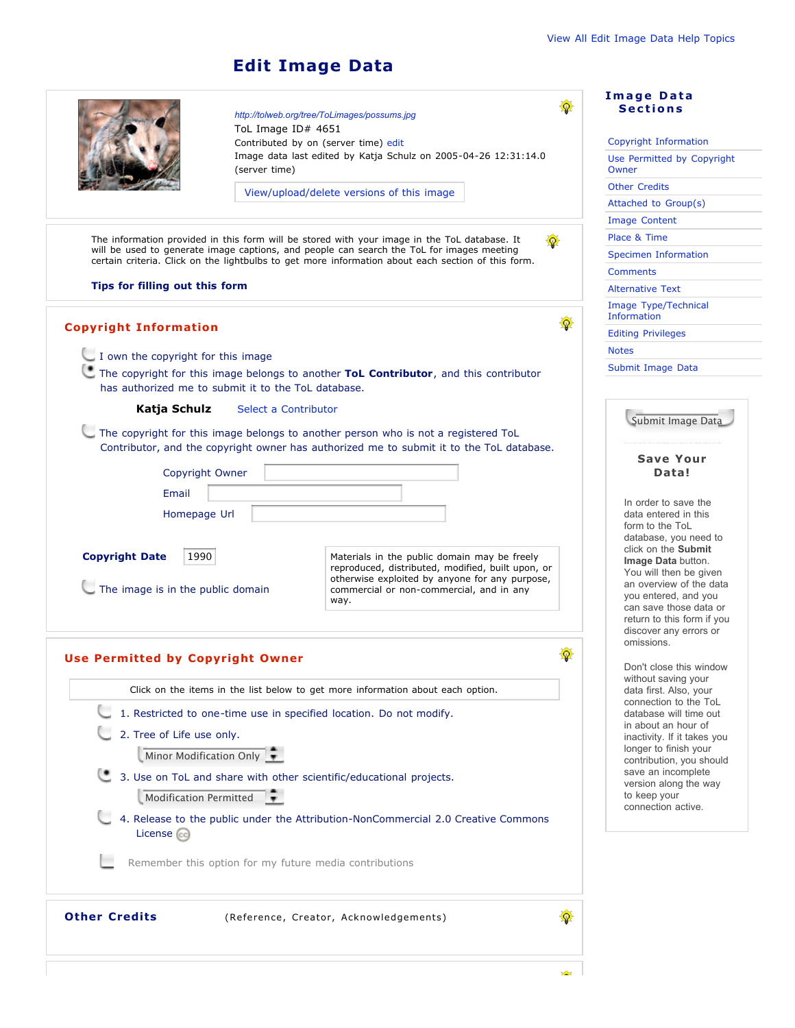## **Edit Image Data**

|                                                                                                                                                                                                 | http://tolweb.org/tree/ToLimages/possums.jpg<br>ToL Image ID# 4651<br>Contributed by on (server time) edit |                                                                                                                                                     | <b>Image Data</b><br><b>Sections</b><br>Copyright Information                                                           |
|-------------------------------------------------------------------------------------------------------------------------------------------------------------------------------------------------|------------------------------------------------------------------------------------------------------------|-----------------------------------------------------------------------------------------------------------------------------------------------------|-------------------------------------------------------------------------------------------------------------------------|
|                                                                                                                                                                                                 | (server time)                                                                                              | Image data last edited by Katja Schulz on 2005-04-26 12:31:14.0                                                                                     | Use Permitted by Copyright<br>Owner                                                                                     |
|                                                                                                                                                                                                 |                                                                                                            | View/upload/delete versions of this image                                                                                                           | <b>Other Credits</b>                                                                                                    |
|                                                                                                                                                                                                 |                                                                                                            |                                                                                                                                                     | Attached to Group(s)                                                                                                    |
|                                                                                                                                                                                                 |                                                                                                            |                                                                                                                                                     | <b>Image Content</b>                                                                                                    |
| The information provided in this form will be stored with your image in the ToL database. It                                                                                                    | Place & Time                                                                                               |                                                                                                                                                     |                                                                                                                         |
| will be used to generate image captions, and people can search the ToL for images meeting<br>certain criteria. Click on the lightbulbs to get more information about each section of this form. | <b>Specimen Information</b>                                                                                |                                                                                                                                                     |                                                                                                                         |
|                                                                                                                                                                                                 | <b>Comments</b>                                                                                            |                                                                                                                                                     |                                                                                                                         |
| Tips for filling out this form                                                                                                                                                                  | <b>Alternative Text</b>                                                                                    |                                                                                                                                                     |                                                                                                                         |
|                                                                                                                                                                                                 |                                                                                                            |                                                                                                                                                     | Image Type/Technical<br>Information                                                                                     |
| <b>Copyright Information</b>                                                                                                                                                                    | <b>Editing Privileges</b>                                                                                  |                                                                                                                                                     |                                                                                                                         |
| I own the copyright for this image                                                                                                                                                              | <b>Notes</b>                                                                                               |                                                                                                                                                     |                                                                                                                         |
| The copyright for this image belongs to another ToL Contributor, and this contributor                                                                                                           | Submit Image Data                                                                                          |                                                                                                                                                     |                                                                                                                         |
| has authorized me to submit it to the ToL database.                                                                                                                                             |                                                                                                            |                                                                                                                                                     |                                                                                                                         |
| Katja Schulz                                                                                                                                                                                    | Submit Image Data                                                                                          |                                                                                                                                                     |                                                                                                                         |
| The copyright for this image belongs to another person who is not a registered ToL                                                                                                              |                                                                                                            |                                                                                                                                                     |                                                                                                                         |
|                                                                                                                                                                                                 |                                                                                                            | Contributor, and the copyright owner has authorized me to submit it to the ToL database.                                                            | <b>Save Your</b>                                                                                                        |
| Copyright Owner                                                                                                                                                                                 |                                                                                                            |                                                                                                                                                     | Data!                                                                                                                   |
| Email                                                                                                                                                                                           |                                                                                                            |                                                                                                                                                     |                                                                                                                         |
| Homepage Url                                                                                                                                                                                    |                                                                                                            |                                                                                                                                                     | In order to save the<br>data entered in this                                                                            |
|                                                                                                                                                                                                 |                                                                                                            |                                                                                                                                                     | form to the ToL                                                                                                         |
| <b>Copyright Date</b><br>1990                                                                                                                                                                   |                                                                                                            | Materials in the public domain may be freely<br>reproduced, distributed, modified, built upon, or<br>otherwise exploited by anyone for any purpose, | database, you need to<br>click on the Submit<br>Image Data button.<br>You will then be given<br>an overview of the data |
| The image is in the public domain                                                                                                                                                               |                                                                                                            | commercial or non-commercial, and in any<br>way.                                                                                                    | you entered, and you<br>can save those data or<br>return to this form if you<br>discover any errors or                  |
| <b>Use Permitted by Copyright Owner</b>                                                                                                                                                         | omissions.<br>Don't close this window<br>without saving your                                               |                                                                                                                                                     |                                                                                                                         |
| Click on the items in the list below to get more information about each option.                                                                                                                 | data first. Also, your<br>connection to the ToL                                                            |                                                                                                                                                     |                                                                                                                         |
| 1. Restricted to one-time use in specified location. Do not modify.                                                                                                                             | database will time out                                                                                     |                                                                                                                                                     |                                                                                                                         |
| 2. Tree of Life use only.                                                                                                                                                                       |                                                                                                            |                                                                                                                                                     | in about an hour of<br>inactivity. If it takes you                                                                      |
|                                                                                                                                                                                                 | Minor Modification Only                                                                                    |                                                                                                                                                     | longer to finish your<br>contribution, you should                                                                       |
|                                                                                                                                                                                                 |                                                                                                            | 3. Use on ToL and share with other scientific/educational projects.                                                                                 | save an incomplete                                                                                                      |
|                                                                                                                                                                                                 | Modification Permitted                                                                                     |                                                                                                                                                     | version along the way<br>to keep your                                                                                   |
|                                                                                                                                                                                                 |                                                                                                            | 4. Release to the public under the Attribution-NonCommercial 2.0 Creative Commons                                                                   | connection active.                                                                                                      |
| License (cc)                                                                                                                                                                                    |                                                                                                            |                                                                                                                                                     |                                                                                                                         |
|                                                                                                                                                                                                 |                                                                                                            | Remember this option for my future media contributions                                                                                              |                                                                                                                         |
| <b>Other Credits</b>                                                                                                                                                                            |                                                                                                            | 砸<br>(Reference, Creator, Acknowledgements)                                                                                                         |                                                                                                                         |
|                                                                                                                                                                                                 |                                                                                                            | بطير                                                                                                                                                |                                                                                                                         |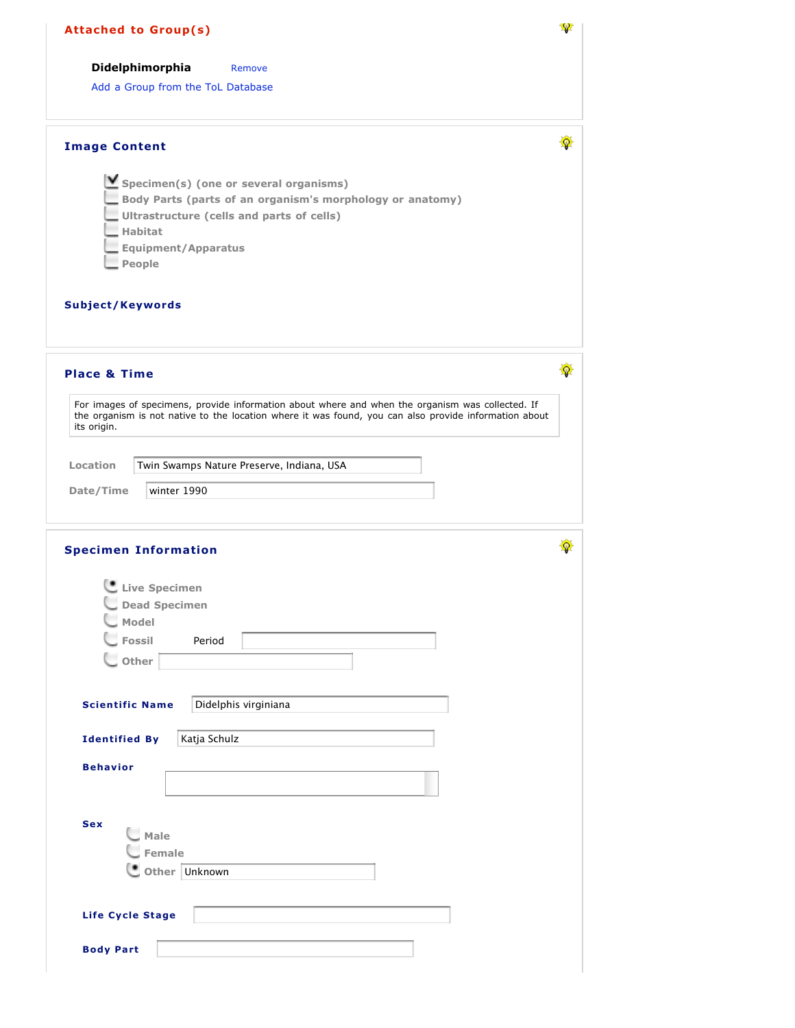| <b>Attached to Group(s)</b>                                                                                                                                                                                                                                                                                   |   |
|---------------------------------------------------------------------------------------------------------------------------------------------------------------------------------------------------------------------------------------------------------------------------------------------------------------|---|
| Didelphimorphia<br>Remove                                                                                                                                                                                                                                                                                     |   |
| Add a Group from the ToL Database                                                                                                                                                                                                                                                                             |   |
| <b>Image Content</b>                                                                                                                                                                                                                                                                                          | 癳 |
| $\triangleright$ Specimen(s) (one or several organisms)<br>Body Parts (parts of an organism's morphology or anatomy)<br>Ultrastructure (cells and parts of cells)<br>$\equiv$ Habitat<br>Equipment/Apparatus<br>$\blacksquare$ People                                                                         |   |
| Subject/Keywords                                                                                                                                                                                                                                                                                              |   |
| <b>Place &amp; Time</b>                                                                                                                                                                                                                                                                                       | ø |
| For images of specimens, provide information about where and when the organism was collected. If<br>the organism is not native to the location where it was found, you can also provide information about<br>its origin.<br>Location<br>Twin Swamps Nature Preserve, Indiana, USA<br>Date/Time<br>winter 1990 |   |
|                                                                                                                                                                                                                                                                                                               | 優 |
|                                                                                                                                                                                                                                                                                                               |   |
| Live Specimen<br><b>Dead Specimen</b><br>Model<br>Fossil<br>Period<br>$\cup$ Other                                                                                                                                                                                                                            |   |
| <b>Scientific Name</b><br>Didelphis virginiana                                                                                                                                                                                                                                                                |   |
| Katja Schulz<br><b>Identified By</b>                                                                                                                                                                                                                                                                          |   |
| <b>Behavior</b>                                                                                                                                                                                                                                                                                               |   |
| <b>Specimen Information</b><br><b>Sex</b><br>Male<br>Female<br>Other Unknown                                                                                                                                                                                                                                  |   |
| Life Cycle Stage                                                                                                                                                                                                                                                                                              |   |